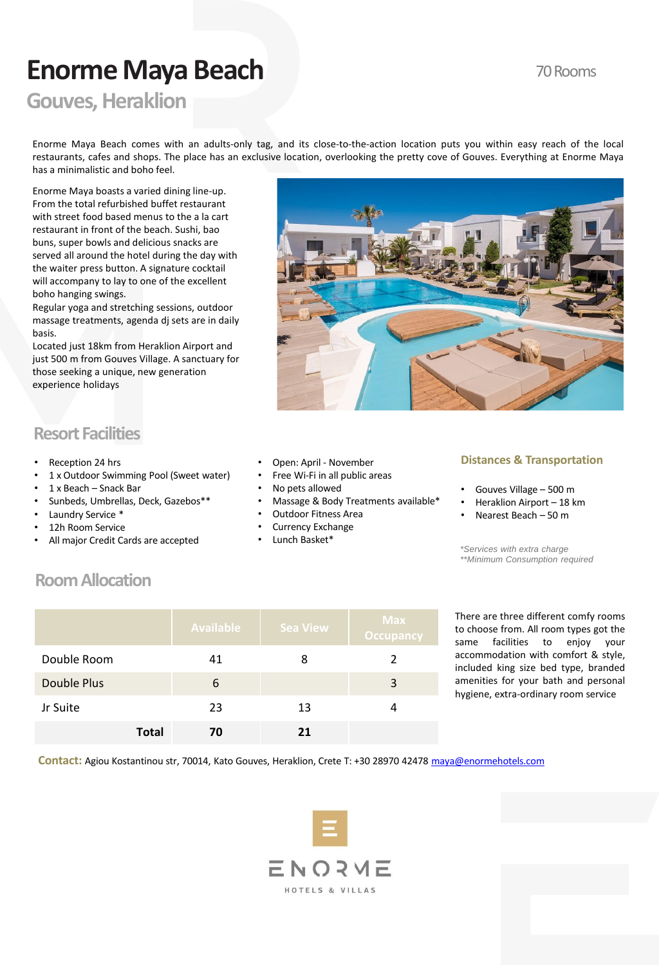# **Enorme Maya Beach**

## 70 Rooms

## **Gouves, Heraklion**

Enorme Maya Beach comes with an adults-only tag, and its close-to-the-action location puts you within easy reach of the local restaurants, cafes and shops. The place has an exclusive location, overlooking the pretty cove of Gouves. Everything at Enorme Maya has a minimalistic and boho feel.

Enorme Maya boasts a varied dining line-up. From the total refurbished buffet restaurant with street food based menus to the a la cart restaurant in front of the beach. Sushi, bao buns, super bowls and delicious snacks are served all around the hotel during the day with the waiter press button. A signature cocktail will accompany to lay to one of the excellent boho hanging swings.

Regular yoga and stretching sessions, outdoor massage treatments, agenda dj sets are in daily basis.

Located just 18km from Heraklion Airport and just 500 m from Gouves Village. A sanctuary for those seeking a unique, new generation experience holidays



## **Resort Facilities**

- Reception 24 hrs
- 1 x Outdoor Swimming Pool (Sweet water)
- 1 x Beach Snack Bar
- Sunbeds, Umbrellas, Deck, Gazebos\*\*
- Laundry Service \*
- 12h Room Service
- All major Credit Cards are accepted
- Open: April November
- Free Wi-Fi in all public areas
- No pets allowed
- Massage & Body Treatments available\*
- Outdoor Fitness Area
- Currency Exchange
- Lunch Basket\*

### **Distances & Transportation**

- Gouves Village 500 m
- Heraklion Airport 18 km
- Nearest Beach 50 m

*\*Services with extra charge \*\*Minimum Consumption required* 

## **Room Allocation**

|                    |              | <b>Available</b> | <b>Sea View</b> | <b>Max</b><br><b>Occupancy</b> |
|--------------------|--------------|------------------|-----------------|--------------------------------|
| Double Room        |              | 41               | 8               |                                |
| <b>Double Plus</b> |              | 6                |                 | 3                              |
| Jr Suite           |              | 23               | 13              |                                |
|                    | <b>Total</b> | 70               | 21              |                                |

There are three different comfy rooms to choose from. All room types got the same facilities to enjoy your accommodation with comfort & style, included king size bed type, branded amenities for your bath and personal hygiene, extra-ordinary room service

**Contact:** Agiou Kostantinou str, 70014, Kato Gouves, Heraklion, Crete T: +30 28970 42478 [maya@enormehotels.com](mailto:maya@enormehotels.com)

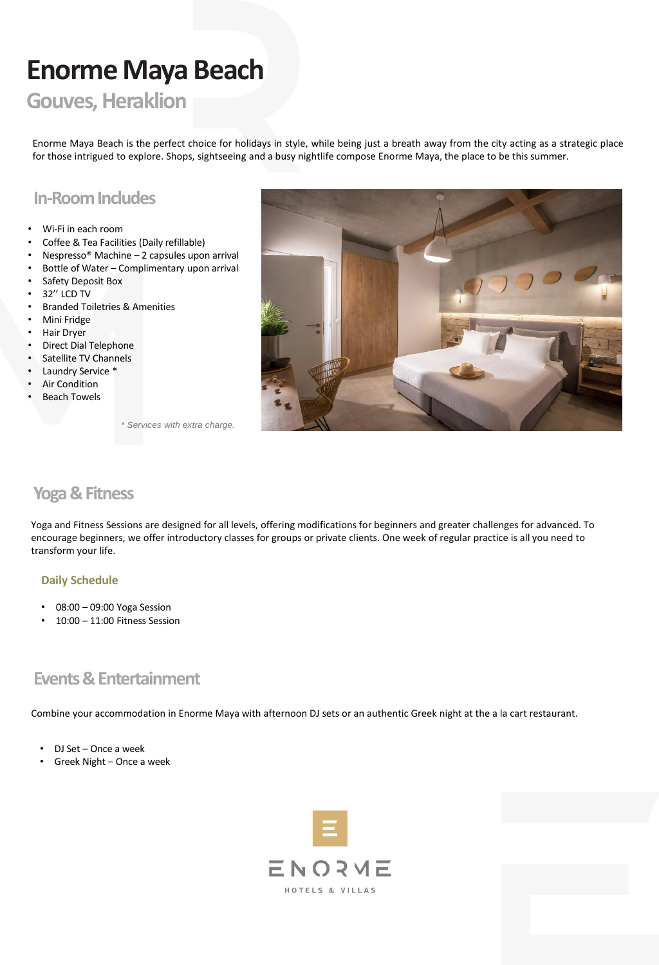# **Enorme Maya Beach**

## **Gouves, Heraklion**

Enorme Maya Beach is the perfect choice for holidays in style, while being just a breath away from the city acting as a strategic place for those intrigued to explore. Shops, sightseeing and a busy nightlife compose Enorme Maya, the place to be this summer.

## **In-Room Includes**

- Wi-Fi in each room
- Coffee & Tea Facilities (Daily refillable)
- Nespresso® Machine 2 capsules upon arrival
- Bottle of Water Complimentary upon arrival
- Safety Deposit Box
- 32'' LCD TV
- Branded Toiletries & Amenities
- Mini Fridge
- Hair Dryer
- Direct Dial Telephone
- Satellite TV Channels
- Laundry Service \*
- **Air Condition**
- **Beach Towels**



*\* Services with extra charge.*

## **Yoga & Fitness**

Yoga and Fitness Sessions are designed for all levels, offering modifications for beginners and greater challenges for advanced. To encourage beginners, we offer introductory classes for groups or private clients. One week of regular practice is all you need to transform your life.

#### **Daily Schedule**

- 08:00 09:00 Yoga Session
- 10:00 11:00 Fitness Session

## **Events & Entertainment**

Combine your accommodation in Enorme Maya with afternoon DJ sets or an authentic Greek night at the a la cart restaurant.

- DJ Set Once a week
- Greek Night Once a week